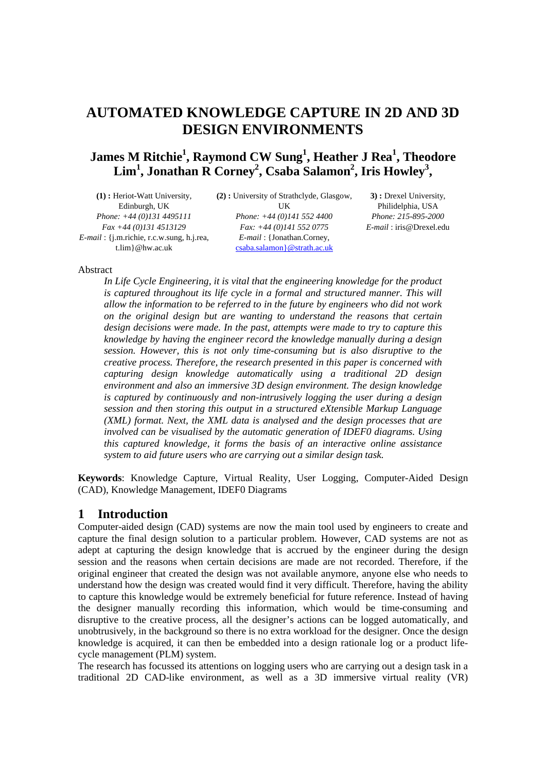# **AUTOMATED KNOWLEDGE CAPTURE IN 2D AND 3D DESIGN ENVIRONMENTS**

# **James M Ritchie1 , Raymond CW Sung<sup>1</sup> , Heather J Rea<sup>1</sup> , Theodore**  Lim<sup>1</sup>, Jonathan R Corney<sup>2</sup>, Csaba Salamon<sup>2</sup>, Iris Howley<sup>3</sup>,

| $(1)$ : Heriot-Watt University,                  | (2): University of Strathclyde, Glas |
|--------------------------------------------------|--------------------------------------|
| Edinburgh, UK                                    | UК                                   |
| Phone: $+44(0)1314495111$                        | Phone: $+44(0)1415524400$            |
| $Fax +44(0)1314513129$                           | Fax: $+44$ (0)141 552 0775           |
| $E$ -mail: { $j$ .m.richie, r.c.w.sung, h.j.rea, | <i>E-mail</i> : {Jonathan.Corney,    |
| $t$ .lim } @hw.ac.uk                             | csaba.salamon } @ strath.ac.uk       |

**(2) :** University of Strathclyde, Glasgow, UK *Phone: +44 (0)141 552 4400 Fax: +44 (0)141 552 0775 E-mail* : {Jonathan.Corney,

**3) :** Drexel University, Philidelphia, USA *Phone: 215-895-2000 E-mail* : iris@Drexel.edu

#### Abstract

*In Life Cycle Engineering, it is vital that the engineering knowledge for the product is captured throughout its life cycle in a formal and structured manner. This will allow the information to be referred to in the future by engineers who did not work on the original design but are wanting to understand the reasons that certain design decisions were made. In the past, attempts were made to try to capture this knowledge by having the engineer record the knowledge manually during a design session. However, this is not only time-consuming but is also disruptive to the creative process. Therefore, the research presented in this paper is concerned with capturing design knowledge automatically using a traditional 2D design environment and also an immersive 3D design environment. The design knowledge is captured by continuously and non-intrusively logging the user during a design session and then storing this output in a structured eXtensible Markup Language (XML) format. Next, the XML data is analysed and the design processes that are involved can be visualised by the automatic generation of IDEF0 diagrams. Using this captured knowledge, it forms the basis of an interactive online assistance system to aid future users who are carrying out a similar design task.*

**Keywords**: Knowledge Capture, Virtual Reality, User Logging, Computer-Aided Design (CAD), Knowledge Management, IDEF0 Diagrams

## **1 Introduction**

Computer-aided design (CAD) systems are now the main tool used by engineers to create and capture the final design solution to a particular problem. However, CAD systems are not as adept at capturing the design knowledge that is accrued by the engineer during the design session and the reasons when certain decisions are made are not recorded. Therefore, if the original engineer that created the design was not available anymore, anyone else who needs to understand how the design was created would find it very difficult. Therefore, having the ability to capture this knowledge would be extremely beneficial for future reference. Instead of having the designer manually recording this information, which would be time-consuming and disruptive to the creative process, all the designer's actions can be logged automatically, and unobtrusively, in the background so there is no extra workload for the designer. Once the design knowledge is acquired, it can then be embedded into a design rationale log or a product lifecycle management (PLM) system.

The research has focussed its attentions on logging users who are carrying out a design task in a traditional 2D CAD-like environment, as well as a 3D immersive virtual reality (VR)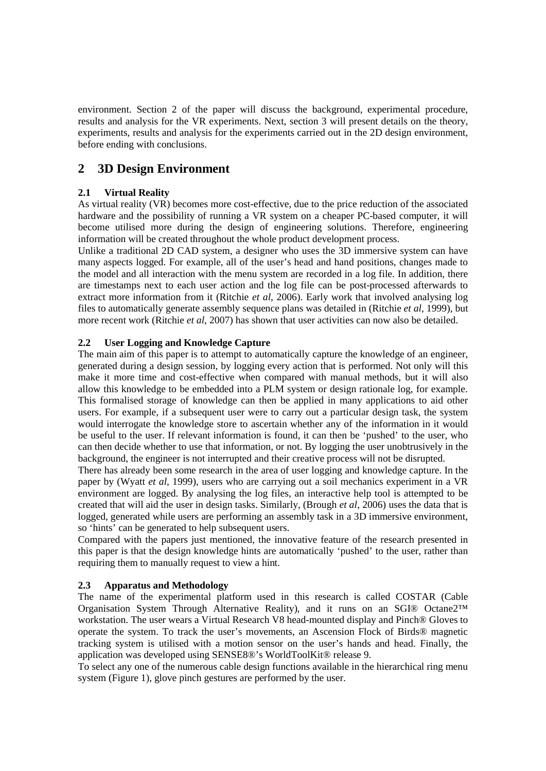environment. Section 2 of the paper will discuss the background, experimental procedure, results and analysis for the VR experiments. Next, section 3 will present details on the theory, experiments, results and analysis for the experiments carried out in the 2D design environment, before ending with conclusions.

# **2 3D Design Environment**

## **2.1 Virtual Reality**

As virtual reality (VR) becomes more cost-effective, due to the price reduction of the associated hardware and the possibility of running a VR system on a cheaper PC-based computer, it will become utilised more during the design of engineering solutions. Therefore, engineering information will be created throughout the whole product development process.

Unlike a traditional 2D CAD system, a designer who uses the 3D immersive system can have many aspects logged. For example, all of the user's head and hand positions, changes made to the model and all interaction with the menu system are recorded in a log file. In addition, there are timestamps next to each user action and the log file can be post-processed afterwards to extract more information from it (Ritchie *et al*, 2006). Early work that involved analysing log files to automatically generate assembly sequence plans was detailed in (Ritchie *et al*, 1999), but more recent work (Ritchie *et al*, 2007) has shown that user activities can now also be detailed.

# **2.2 User Logging and Knowledge Capture**

The main aim of this paper is to attempt to automatically capture the knowledge of an engineer, generated during a design session, by logging every action that is performed. Not only will this make it more time and cost-effective when compared with manual methods, but it will also allow this knowledge to be embedded into a PLM system or design rationale log, for example. This formalised storage of knowledge can then be applied in many applications to aid other users. For example, if a subsequent user were to carry out a particular design task, the system would interrogate the knowledge store to ascertain whether any of the information in it would be useful to the user. If relevant information is found, it can then be 'pushed' to the user, who can then decide whether to use that information, or not. By logging the user unobtrusively in the background, the engineer is not interrupted and their creative process will not be disrupted.

There has already been some research in the area of user logging and knowledge capture. In the paper by (Wyatt *et al*, 1999), users who are carrying out a soil mechanics experiment in a VR environment are logged. By analysing the log files, an interactive help tool is attempted to be created that will aid the user in design tasks. Similarly, (Brough *et al*, 2006) uses the data that is logged, generated while users are performing an assembly task in a 3D immersive environment, so 'hints' can be generated to help subsequent users.

Compared with the papers just mentioned, the innovative feature of the research presented in this paper is that the design knowledge hints are automatically 'pushed' to the user, rather than requiring them to manually request to view a hint.

## **2.3 Apparatus and Methodology**

The name of the experimental platform used in this research is called COSTAR (Cable Organisation System Through Alternative Reality), and it runs on an SGI® Octane2™ workstation. The user wears a Virtual Research V8 head-mounted display and Pinch® Gloves to operate the system. To track the user's movements, an Ascension Flock of Birds® magnetic tracking system is utilised with a motion sensor on the user's hands and head. Finally, the application was developed using SENSE8®'s WorldToolKit® release 9.

To select any one of the numerous cable design functions available in the hierarchical ring menu system (Figure 1), glove pinch gestures are performed by the user.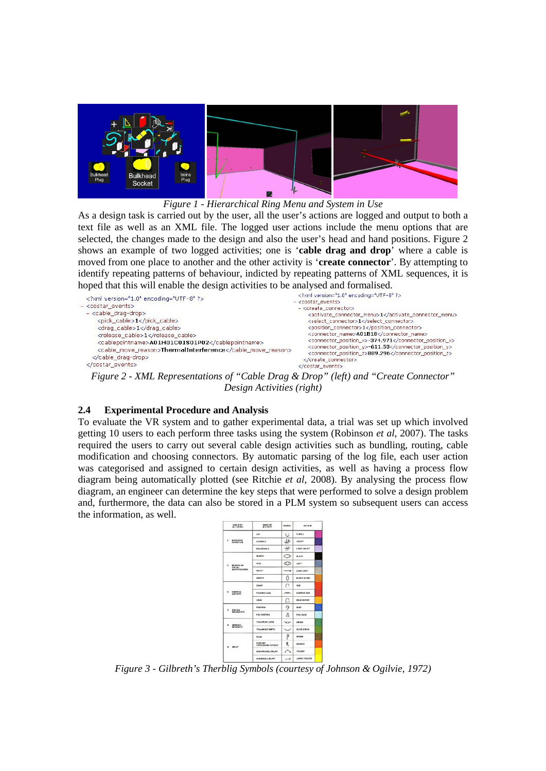

#### *Figure 1 - Hierarchical Ring Menu and System in Use*

As a design task is carried out by the user, all the user's actions are logged and output to both a text file as well as an XML file. The logged user actions include the menu options that are selected, the changes made to the design and also the user's head and hand positions. Figure 2 shows an example of two logged activities; one is '**cable drag and drop**' where a cable is moved from one place to another and the other activity is '**create connector**'. By attempting to identify repeating patterns of behaviour, indicted by repeating patterns of XML sequences, it is hoped that this will enable the design activities to be analysed and formalised.

| xml version="1.0" encoding="UTF-8" ?<br>- <costar events=""><br/><math>-</math> <cable_drag-drop><br/><pick_cable>1</pick_cable><br/><drag cable="">1</drag><br/><release_cable>1</release_cable><br/><cablepointname>A01H01C01S01P02</cablepointname><br/><cable move="" reason="">ThermalInterference</cable></cable_drag-drop></costar> | xml version="1.0" encoding="UTF-8" ?<br>- <costar events=""><br/>- <create_connector><br/><activate_connector_menu>1<select connector="">1</select><br/><position_connector>1</position_connector><br/><connector name="">A01B18</connector><br/><connector_position_x>-374.971</connector_position_x><br/><connector_position_y>-611.53</connector_position_y></activate_connector_menu></create_connector></costar> |
|--------------------------------------------------------------------------------------------------------------------------------------------------------------------------------------------------------------------------------------------------------------------------------------------------------------------------------------------|-----------------------------------------------------------------------------------------------------------------------------------------------------------------------------------------------------------------------------------------------------------------------------------------------------------------------------------------------------------------------------------------------------------------------|
| <br>                                                                                                                                                                                                                                                                                                                                       | <connector position="" z="">889.296</connector><br><br>                                                                                                                                                                                                                                                                                                                                                               |

*Figure 2 - XML Representations of "Cable Drag & Drop" (left) and "Create Connector" Design Activities (right)*

#### **2.4 Experimental Procedure and Analysis**

To evaluate the VR system and to gather experimental data, a trial was set up which involved getting 10 users to each perform three tasks using the system (Robinson *et al*, 2007). The tasks required the users to carry out several cable design activities such as bundling, routing, cable modification and choosing connectors. By automatic parsing of the log file, each user action was categorised and assigned to certain design activities, as well as having a process flow diagram being automatically plotted (see Ritchie *et al*, 2008). By analysing the process flow diagram, an engineer can determine the key steps that were performed to solve a design problem and, furthermore, the data can also be stored in a PLM system so subsequent users can access the information, as well.

|                                              | <b>GROUP OF</b><br><b>ACTIVITIES</b>                | <b>MANE OF</b><br><b>ACTIVITY</b> | SYMMOL.            | COLOUR.            |  |
|----------------------------------------------|-----------------------------------------------------|-----------------------------------|--------------------|--------------------|--|
|                                              |                                                     | LIKE                              | Ū                  | <b>PURPLE</b>      |  |
| ٠                                            | EFFECTIVE<br>OPPRATION                              | <b>ASSEMBLE</b>                   | 井                  | VIOLET             |  |
|                                              |                                                     | <b>DISASSEMBLE</b>                | -11                | LIGHT VIOLET       |  |
|                                              |                                                     | <b>SEARCH</b>                     | ⌒                  | <b>BLACK</b>       |  |
| $\mathbf{z}$                                 | MCMUNE OR<br><b>YISUAL</b><br><b>IDENTIFICATION</b> | <b>SIND</b>                       | ∞                  | GREY               |  |
|                                              |                                                     | SELECT                            | ٠                  | LIGHT CREY         |  |
|                                              |                                                     | <b>INSPECT</b>                    | 0                  | <b>BURNT OCHRE</b> |  |
| $\cdot$<br><b>CONTROL</b><br><b>ACTIVITY</b> |                                                     | CRASP                             | ∩                  | <b>hf</b> o        |  |
|                                              | <b>RELEASE LOAD</b>                                 | $\sim$                            | <b>CARMINE RED</b> |                    |  |
|                                              |                                                     | HOLD                              | n                  | <b>GOLD OCHRE</b>  |  |
| ٠                                            | PHECISE                                             | <b>POSITION</b>                   | 9                  | <b>DLUE</b>        |  |
|                                              | <b>MOVEMENTS</b>                                    | PRE-POSITION                      | Å                  | <b>FALCOLUE</b>    |  |
| ٠                                            | <b>GENERAL</b>                                      | TRANSPORT LOAD                    | w                  | GREEN              |  |
| <b>MOVEMENT</b>                              | <b>TRANSPORT FMPTV</b>                              | ◢                                 | <b>OLIVE GREEN</b> |                    |  |
|                                              | DFLOY                                               | <b>PLAN</b>                       | Ρ                  | <b>BEIOWN</b>      |  |
| ٠                                            |                                                     | nrst ron<br>OVERCOMING EATIGUE    | ዳ                  | ORANCE             |  |
|                                              |                                                     | UNAVOIDABLE DELAY                 | ╭                  | <b>YELLON</b>      |  |
|                                              | AVOIDABLE DELAY                                     | $\overline{a}$                    | LEMON VELLOW       |                    |  |

*Figure 3 - Gilbreth's Therblig Symbols (courtesy of Johnson & Ogilvie, 1972)*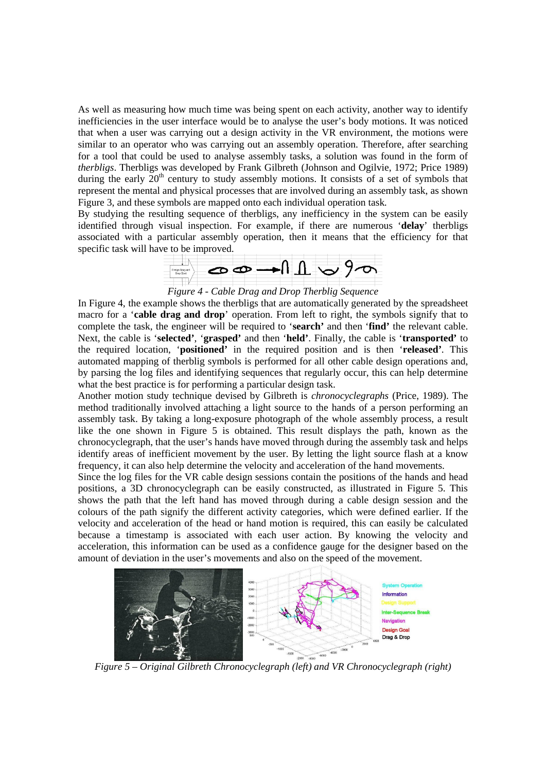As well as measuring how much time was being spent on each activity, another way to identify inefficiencies in the user interface would be to analyse the user's body motions. It was noticed that when a user was carrying out a design activity in the VR environment, the motions were similar to an operator who was carrying out an assembly operation. Therefore, after searching for a tool that could be used to analyse assembly tasks, a solution was found in the form of *therbligs*. Therbligs was developed by Frank Gilbreth (Johnson and Ogilvie, 1972; Price 1989) during the early  $20<sup>th</sup>$  century to study assembly motions. It consists of a set of symbols that represent the mental and physical processes that are involved during an assembly task, as shown Figure 3, and these symbols are mapped onto each individual operation task.

By studying the resulting sequence of therbligs, any inefficiency in the system can be easily identified through visual inspection. For example, if there are numerous '**delay**' therbligs associated with a particular assembly operation, then it means that the efficiency for that



*Figure 4 - Cable Drag and Drop Therblig Sequence*

In Figure 4, the example shows the therbligs that are automatically generated by the spreadsheet macro for a '**cable drag and drop**' operation. From left to right, the symbols signify that to complete the task, the engineer will be required to '**search'** and then '**find'** the relevant cable. Next, the cable is '**selected'**, '**grasped'** and then '**held'**. Finally, the cable is '**transported'** to the required location, '**positioned'** in the required position and is then '**released'**. This automated mapping of therblig symbols is performed for all other cable design operations and, by parsing the log files and identifying sequences that regularly occur, this can help determine what the best practice is for performing a particular design task.

Another motion study technique devised by Gilbreth is *chronocyclegraphs* (Price, 1989). The method traditionally involved attaching a light source to the hands of a person performing an assembly task. By taking a long-exposure photograph of the whole assembly process, a result like the one shown in Figure 5 is obtained. This result displays the path, known as the chronocyclegraph, that the user's hands have moved through during the assembly task and helps identify areas of inefficient movement by the user. By letting the light source flash at a know frequency, it can also help determine the velocity and acceleration of the hand movements.

Since the log files for the VR cable design sessions contain the positions of the hands and head positions, a 3D chronocyclegraph can be easily constructed, as illustrated in Figure 5. This shows the path that the left hand has moved through during a cable design session and the colours of the path signify the different activity categories, which were defined earlier. If the velocity and acceleration of the head or hand motion is required, this can easily be calculated because a timestamp is associated with each user action. By knowing the velocity and acceleration, this information can be used as a confidence gauge for the designer based on the amount of deviation in the user's movements and also on the speed of the movement.



*Figure 5 – Original Gilbreth Chronocyclegraph (left) and VR Chronocyclegraph (right)*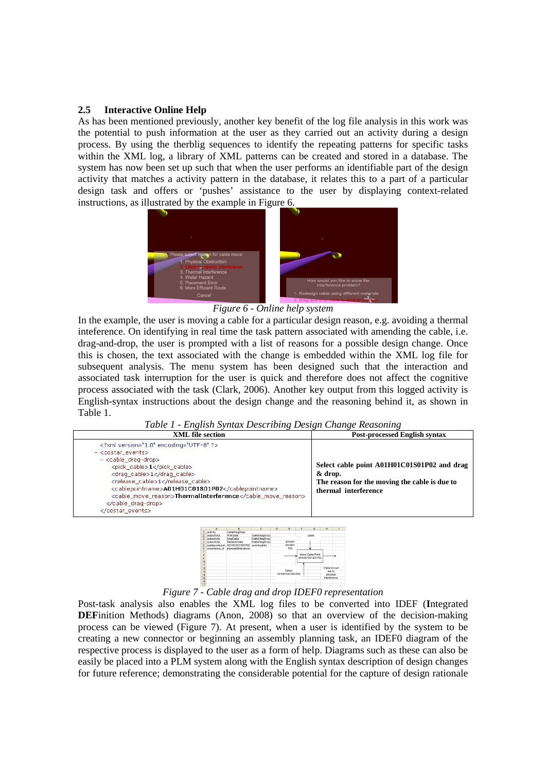#### **2.5 Interactive Online Help**

As has been mentioned previously, another key benefit of the log file analysis in this work was the potential to push information at the user as they carried out an activity during a design process. By using the therblig sequences to identify the repeating patterns for specific tasks within the XML log, a library of XML patterns can be created and stored in a database. The system has now been set up such that when the user performs an identifiable part of the design activity that matches a activity pattern in the database, it relates this to a part of a particular design task and offers or 'pushes' assistance to the user by displaying context-related instructions, as illustrated by the example in Figure 6.



*Figure 6 - Online help system*

In the example, the user is moving a cable for a particular design reason, e.g. avoiding a thermal inteference. On identifying in real time the task pattern associated with amending the cable, i.e. drag-and-drop, the user is prompted with a list of reasons for a possible design change. Once this is chosen, the text associated with the change is embedded within the XML log file for subsequent analysis. The menu system has been designed such that the interaction and associated task interruption for the user is quick and therefore does not affect the cognitive process associated with the task (Clark, 2006). Another key output from this logged activity is English-syntax instructions about the design change and the reasoning behind it, as shown in Table 1.

*Table 1 - English Syntax Describing Design Change Reasoning*

| $\cdot$<br>. .                                                                                                                                                                                                                                                                                                                                       | $\cdot$<br>$\cdot$                                                                                                              |
|------------------------------------------------------------------------------------------------------------------------------------------------------------------------------------------------------------------------------------------------------------------------------------------------------------------------------------------------------|---------------------------------------------------------------------------------------------------------------------------------|
| <b>XML</b> file section                                                                                                                                                                                                                                                                                                                              | <b>Post-processed English syntax</b>                                                                                            |
| xml version="1.0" encoding="UTF-8" ?<br>- <costar events=""><br/><math>-</math> <cable_drag-drop><br/><pick cable="">1</pick><br/><draq_cable>1</draq_cable><br/><release_cable>1</release_cable><br/><cablepointname>A01H01C01S01P02</cablepointname><br/><cable move="" reason="">ThermalInterference</cable><br/><br/></cable_drag-drop></costar> | Select cable point A01H01C01S01P02 and drag<br>& drop.<br>The reason for the moving the cable is due to<br>thermal interference |
|                                                                                                                                                                                                                                                                                                                                                      |                                                                                                                                 |



*Figure 7 - Cable drag and drop IDEF0 representation*

Post-task analysis also enables the XML log files to be converted into IDEF (**I**ntegrated **DEF**inition Methods) diagrams (Anon, 2008) so that an overview of the decision-making process can be viewed (Figure 7). At present, when a user is identified by the system to be creating a new connector or beginning an assembly planning task, an IDEF0 diagram of the respective process is displayed to the user as a form of help. Diagrams such as these can also be easily be placed into a PLM system along with the English syntax description of design changes for future reference; demonstrating the considerable potential for the capture of design rationale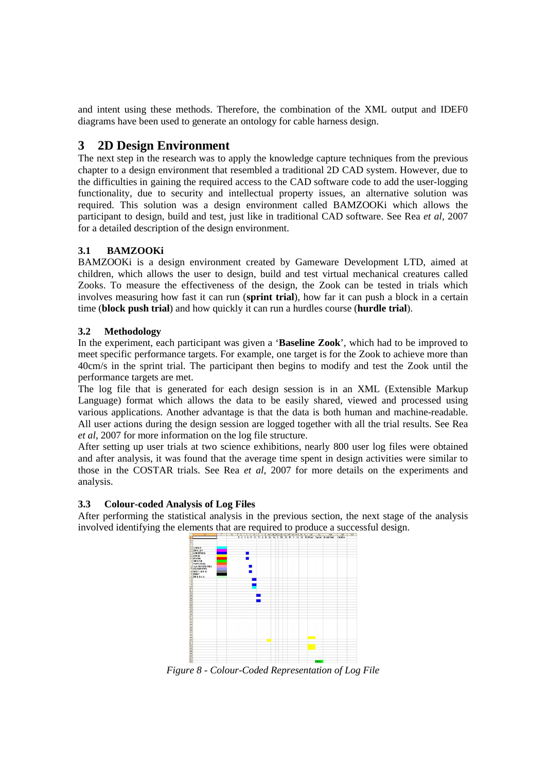and intent using these methods. Therefore, the combination of the XML output and IDEF0 diagrams have been used to generate an ontology for cable harness design.

# **3 2D Design Environment**

The next step in the research was to apply the knowledge capture techniques from the previous chapter to a design environment that resembled a traditional 2D CAD system. However, due to the difficulties in gaining the required access to the CAD software code to add the user-logging functionality, due to security and intellectual property issues, an alternative solution was required. This solution was a design environment called BAMZOOKi which allows the participant to design, build and test, just like in traditional CAD software. See Rea *et al*, 2007 for a detailed description of the design environment.

# **3.1 BAMZOOKi**

BAMZOOKi is a design environment created by Gameware Development LTD, aimed at children, which allows the user to design, build and test virtual mechanical creatures called Zooks. To measure the effectiveness of the design, the Zook can be tested in trials which involves measuring how fast it can run (**sprint trial**), how far it can push a block in a certain time (**block push trial**) and how quickly it can run a hurdles course (**hurdle trial**).

## **3.2 Methodology**

In the experiment, each participant was given a '**Baseline Zook**', which had to be improved to meet specific performance targets. For example, one target is for the Zook to achieve more than 40cm/s in the sprint trial. The participant then begins to modify and test the Zook until the performance targets are met.

The log file that is generated for each design session is in an XML (Extensible Markup Language) format which allows the data to be easily shared, viewed and processed using various applications. Another advantage is that the data is both human and machine-readable. All user actions during the design session are logged together with all the trial results. See Rea *et al*, 2007 for more information on the log file structure.

After setting up user trials at two science exhibitions, nearly 800 user log files were obtained and after analysis, it was found that the average time spent in design activities were similar to those in the COSTAR trials. See Rea *et al*, 2007 for more details on the experiments and analysis.

## **3.3 Colour-coded Analysis of Log Files**

After performing the statistical analysis in the previous section, the next stage of the analysis involved identifying the elements that are required to produce a successful design.



*Figure 8 - Colour-Coded Representation of Log File*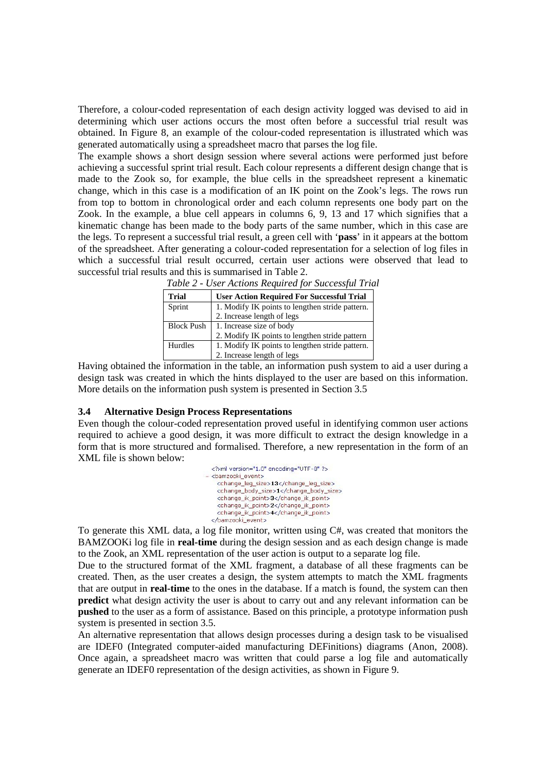Therefore, a colour-coded representation of each design activity logged was devised to aid in determining which user actions occurs the most often before a successful trial result was obtained. In Figure 8, an example of the colour-coded representation is illustrated which was generated automatically using a spreadsheet macro that parses the log file.

The example shows a short design session where several actions were performed just before achieving a successful sprint trial result. Each colour represents a different design change that is made to the Zook so, for example, the blue cells in the spreadsheet represent a kinematic change, which in this case is a modification of an IK point on the Zook's legs. The rows run from top to bottom in chronological order and each column represents one body part on the Zook. In the example, a blue cell appears in columns 6, 9, 13 and 17 which signifies that a kinematic change has been made to the body parts of the same number, which in this case are the legs. To represent a successful trial result, a green cell with '**pass**' in it appears at the bottom of the spreadsheet. After generating a colour-coded representation for a selection of log files in which a successful trial result occurred, certain user actions were observed that lead to successful trial results and this is summarised in Table 2.

| Table 2 - Oser Actions Regatred for Successful Tria |                                                  |  |
|-----------------------------------------------------|--------------------------------------------------|--|
| <b>Trial</b>                                        | <b>User Action Required For Successful Trial</b> |  |
| Sprint                                              | 1. Modify IK points to lengthen stride pattern.  |  |
|                                                     | 2. Increase length of legs                       |  |
| <b>Block Push</b>                                   | 1. Increase size of body                         |  |
|                                                     | 2. Modify IK points to lengthen stride pattern   |  |
| Hurdles                                             | 1. Modify IK points to lengthen stride pattern.  |  |
|                                                     | 2. Increase length of legs                       |  |

*Table 2 - User Actions Required for Successful Trial*

Having obtained the information in the table, an information push system to aid a user during a design task was created in which the hints displayed to the user are based on this information. More details on the information push system is presented in Section 3.5

#### **3.4 Alternative Design Process Representations**

Even though the colour-coded representation proved useful in identifying common user actions required to achieve a good design, it was more difficult to extract the design knowledge in a form that is more structured and formalised. Therefore, a new representation in the form of an XML file is shown below:

| xml version="1.0" encoding="UTF-8" ?   |
|----------------------------------------|
| - <bamzooki_event></bamzooki_event>    |
| <change_leq_size>13</change_leq_size>  |
| <change_body_size>1</change_body_size> |
| <change_ik_point>3</change_ik_point>   |
| <change_ik_point>2</change_ik_point>   |
| <change_ik_point>4</change_ik_point>   |
|                                        |
|                                        |

To generate this XML data, a log file monitor, written using C#, was created that monitors the BAMZOOKi log file in **real-time** during the design session and as each design change is made to the Zook, an XML representation of the user action is output to a separate log file.

Due to the structured format of the XML fragment, a database of all these fragments can be created. Then, as the user creates a design, the system attempts to match the XML fragments that are output in **real-time** to the ones in the database. If a match is found, the system can then **predict** what design activity the user is about to carry out and any relevant information can be **pushed** to the user as a form of assistance. Based on this principle, a prototype information push system is presented in section 3.5.

An alternative representation that allows design processes during a design task to be visualised are IDEF0 (Integrated computer-aided manufacturing DEFinitions) diagrams (Anon, 2008). Once again, a spreadsheet macro was written that could parse a log file and automatically generate an IDEF0 representation of the design activities, as shown in Figure 9.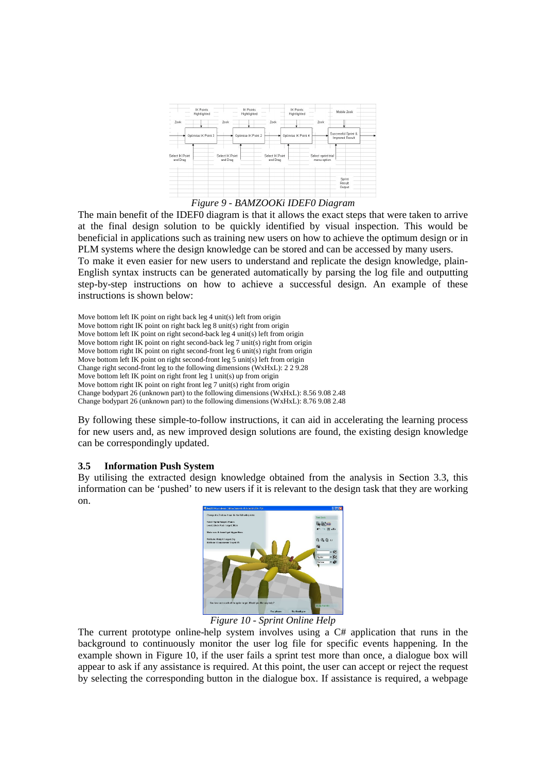

*Figure 9 - BAMZOOKi IDEF0 Diagram*

The main benefit of the IDEF0 diagram is that it allows the exact steps that were taken to arrive at the final design solution to be quickly identified by visual inspection. This would be beneficial in applications such as training new users on how to achieve the optimum design or in PLM systems where the design knowledge can be stored and can be accessed by many users.

To make it even easier for new users to understand and replicate the design knowledge, plain-English syntax instructs can be generated automatically by parsing the log file and outputting step-by-step instructions on how to achieve a successful design. An example of these instructions is shown below:

Move bottom left IK point on right back leg 4 unit(s) left from origin Move bottom right IK point on right back leg 8 unit(s) right from origin Move bottom left IK point on right second-back leg 4 unit(s) left from origin Move bottom right IK point on right second-back leg 7 unit(s) right from origin Move bottom right IK point on right second-front leg 6 unit(s) right from origin Move bottom left IK point on right second-front leg 5 unit(s) left from origin Change right second-front leg to the following dimensions (WxHxL): 2 2 9.28 Move bottom left IK point on right front leg  $1$  unit(s) up from origin Move bottom right IK point on right front leg  $7$  unit(s) right from origin Change bodypart 26 (unknown part) to the following dimensions (WxHxL): 8.56 9.08 2.48 Change bodypart 26 (unknown part) to the following dimensions (WxHxL): 8.76 9.08 2.48

By following these simple-to-follow instructions, it can aid in accelerating the learning process for new users and, as new improved design solutions are found, the existing design knowledge can be correspondingly updated.

#### **3.5 Information Push System**

By utilising the extracted design knowledge obtained from the analysis in Section 3.3, this information can be 'pushed' to new users if it is relevant to the design task that they are working on.



*Figure 10 - Sprint Online Help*

The current prototype online-help system involves using a C# application that runs in the background to continuously monitor the user log file for specific events happening. In the example shown in Figure 10, if the user fails a sprint test more than once, a dialogue box will appear to ask if any assistance is required. At this point, the user can accept or reject the request by selecting the corresponding button in the dialogue box. If assistance is required, a webpage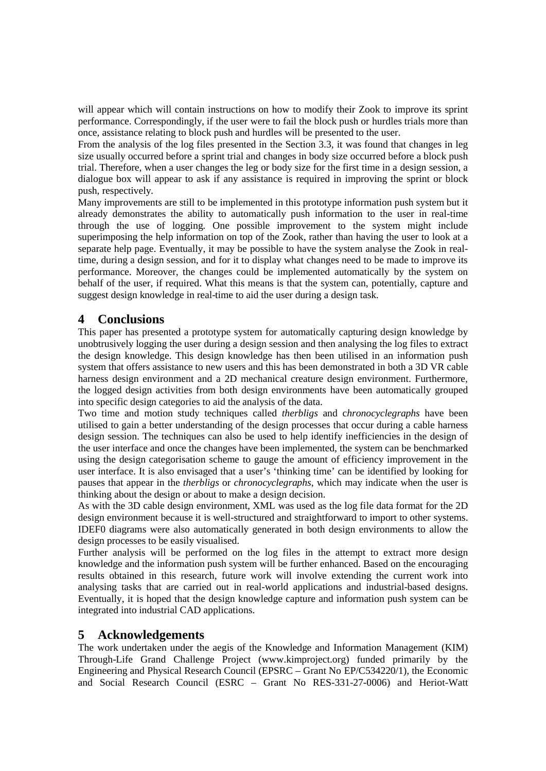will appear which will contain instructions on how to modify their Zook to improve its sprint performance. Correspondingly, if the user were to fail the block push or hurdles trials more than once, assistance relating to block push and hurdles will be presented to the user.

From the analysis of the log files presented in the Section 3.3, it was found that changes in leg size usually occurred before a sprint trial and changes in body size occurred before a block push trial. Therefore, when a user changes the leg or body size for the first time in a design session, a dialogue box will appear to ask if any assistance is required in improving the sprint or block push, respectively.

Many improvements are still to be implemented in this prototype information push system but it already demonstrates the ability to automatically push information to the user in real-time through the use of logging. One possible improvement to the system might include superimposing the help information on top of the Zook, rather than having the user to look at a separate help page. Eventually, it may be possible to have the system analyse the Zook in realtime, during a design session, and for it to display what changes need to be made to improve its performance. Moreover, the changes could be implemented automatically by the system on behalf of the user, if required. What this means is that the system can, potentially, capture and suggest design knowledge in real-time to aid the user during a design task.

# **4 Conclusions**

This paper has presented a prototype system for automatically capturing design knowledge by unobtrusively logging the user during a design session and then analysing the log files to extract the design knowledge. This design knowledge has then been utilised in an information push system that offers assistance to new users and this has been demonstrated in both a 3D VR cable harness design environment and a 2D mechanical creature design environment. Furthermore, the logged design activities from both design environments have been automatically grouped into specific design categories to aid the analysis of the data.

Two time and motion study techniques called *therbligs* and c*hronocyclegraphs* have been utilised to gain a better understanding of the design processes that occur during a cable harness design session. The techniques can also be used to help identify inefficiencies in the design of the user interface and once the changes have been implemented, the system can be benchmarked using the design categorisation scheme to gauge the amount of efficiency improvement in the user interface. It is also envisaged that a user's 'thinking time' can be identified by looking for pauses that appear in the *therbligs* or *chronocyclegraphs*, which may indicate when the user is thinking about the design or about to make a design decision.

As with the 3D cable design environment, XML was used as the log file data format for the 2D design environment because it is well-structured and straightforward to import to other systems. IDEF0 diagrams were also automatically generated in both design environments to allow the design processes to be easily visualised.

Further analysis will be performed on the log files in the attempt to extract more design knowledge and the information push system will be further enhanced. Based on the encouraging results obtained in this research, future work will involve extending the current work into analysing tasks that are carried out in real-world applications and industrial-based designs. Eventually, it is hoped that the design knowledge capture and information push system can be integrated into industrial CAD applications.

# **5 Acknowledgements**

The work undertaken under the aegis of the Knowledge and Information Management (KIM) Through-Life Grand Challenge Project (www.kimproject.org) funded primarily by the Engineering and Physical Research Council (EPSRC – Grant No EP/C534220/1), the Economic and Social Research Council (ESRC – Grant No RES-331-27-0006) and Heriot-Watt